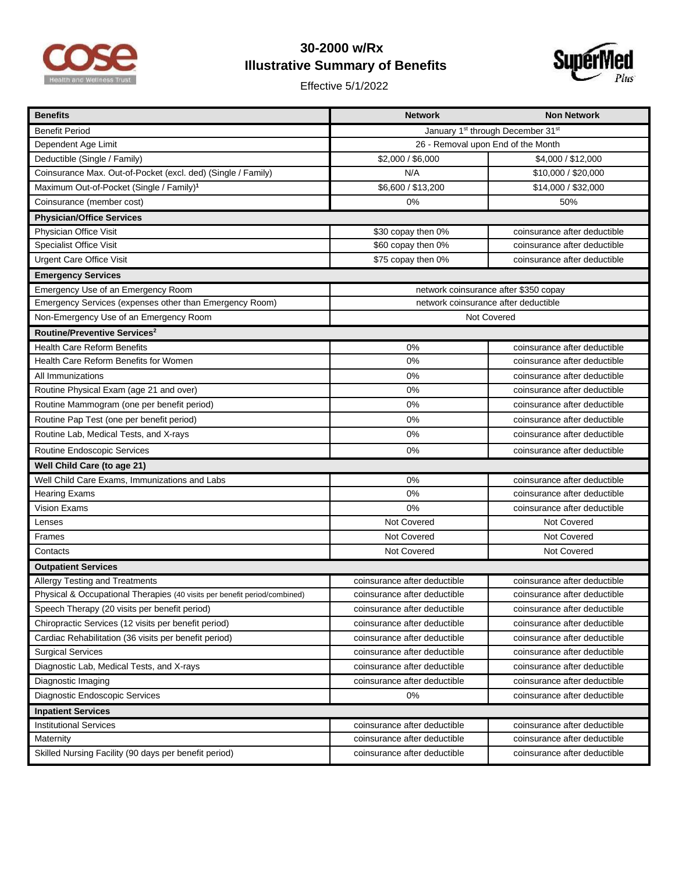

## **30-2000 w/Rx Illustrative Summary of Benefits**

Effective 5/1/2022



| <b>Benefits</b>                                                           | <b>Network</b>                        | <b>Non Network</b>           |  |
|---------------------------------------------------------------------------|---------------------------------------|------------------------------|--|
| <b>Benefit Period</b>                                                     | January 1st through December 31st     |                              |  |
| Dependent Age Limit                                                       | 26 - Removal upon End of the Month    |                              |  |
| Deductible (Single / Family)                                              | \$2,000 / \$6,000                     | \$4,000 / \$12,000           |  |
| Coinsurance Max. Out-of-Pocket (excl. ded) (Single / Family)              | N/A                                   | \$10,000 / \$20,000          |  |
| Maximum Out-of-Pocket (Single / Family) <sup>1</sup>                      | \$6,600 / \$13,200                    | \$14,000 / \$32,000          |  |
| Coinsurance (member cost)                                                 | 0%                                    | 50%                          |  |
| <b>Physician/Office Services</b>                                          |                                       |                              |  |
| Physician Office Visit                                                    | \$30 copay then 0%                    | coinsurance after deductible |  |
| <b>Specialist Office Visit</b>                                            | \$60 copay then 0%                    | coinsurance after deductible |  |
| <b>Urgent Care Office Visit</b>                                           | \$75 copay then 0%                    | coinsurance after deductible |  |
| <b>Emergency Services</b>                                                 |                                       |                              |  |
| Emergency Use of an Emergency Room                                        | network coinsurance after \$350 copay |                              |  |
| Emergency Services (expenses other than Emergency Room)                   | network coinsurance after deductible  |                              |  |
| Non-Emergency Use of an Emergency Room                                    | <b>Not Covered</b>                    |                              |  |
| Routine/Preventive Services <sup>2</sup>                                  |                                       |                              |  |
| <b>Health Care Reform Benefits</b>                                        | 0%                                    | coinsurance after deductible |  |
| Health Care Reform Benefits for Women                                     | 0%                                    | coinsurance after deductible |  |
| All Immunizations                                                         | 0%                                    | coinsurance after deductible |  |
| Routine Physical Exam (age 21 and over)                                   | 0%                                    | coinsurance after deductible |  |
| Routine Mammogram (one per benefit period)                                | 0%                                    | coinsurance after deductible |  |
| Routine Pap Test (one per benefit period)                                 | 0%                                    | coinsurance after deductible |  |
| Routine Lab, Medical Tests, and X-rays                                    | 0%                                    | coinsurance after deductible |  |
| Routine Endoscopic Services                                               | 0%                                    | coinsurance after deductible |  |
| Well Child Care (to age 21)                                               |                                       |                              |  |
| Well Child Care Exams, Immunizations and Labs                             | 0%                                    | coinsurance after deductible |  |
| <b>Hearing Exams</b>                                                      | 0%                                    | coinsurance after deductible |  |
| Vision Exams                                                              | 0%                                    | coinsurance after deductible |  |
| Lenses                                                                    | Not Covered                           | Not Covered                  |  |
| Frames                                                                    | Not Covered                           | Not Covered                  |  |
| Contacts                                                                  | Not Covered                           | Not Covered                  |  |
| <b>Outpatient Services</b>                                                |                                       |                              |  |
| Allergy Testing and Treatments                                            | coinsurance after deductible          | coinsurance after deductible |  |
| Physical & Occupational Therapies (40 visits per benefit period/combined) | coinsurance after deductible          | coinsurance after deductible |  |
| Speech Therapy (20 visits per benefit period)                             | coinsurance after deductible          | coinsurance after deductible |  |
| Chiropractic Services (12 visits per benefit period)                      | coinsurance after deductible          | coinsurance after deductible |  |
| Cardiac Rehabilitation (36 visits per benefit period)                     | coinsurance after deductible          | coinsurance after deductible |  |
| <b>Surgical Services</b>                                                  | coinsurance after deductible          | coinsurance after deductible |  |
| Diagnostic Lab, Medical Tests, and X-rays                                 | coinsurance after deductible          | coinsurance after deductible |  |
| Diagnostic Imaging                                                        | coinsurance after deductible          | coinsurance after deductible |  |
| Diagnostic Endoscopic Services                                            | 0%                                    | coinsurance after deductible |  |
| <b>Inpatient Services</b>                                                 |                                       |                              |  |
| <b>Institutional Services</b>                                             | coinsurance after deductible          | coinsurance after deductible |  |
| Maternity                                                                 | coinsurance after deductible          | coinsurance after deductible |  |
| Skilled Nursing Facility (90 days per benefit period)                     | coinsurance after deductible          | coinsurance after deductible |  |